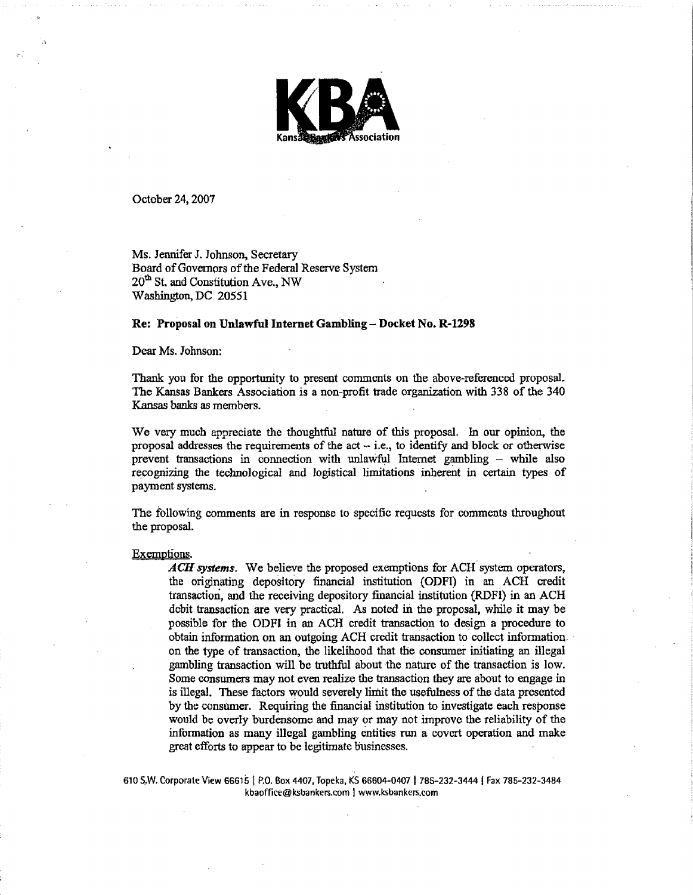

October 24, 2007

.}

Ms. JenniferJ. Johnson, Secretary Board of Governors of the Federal Reserve System 20<sup>th</sup> St. and Constitution Ave., NW Washington, DC 20551

#### Re: Proposal on Unlawful Internet Gambling - Docket No. R-1298

# Dear Ms. Johnson:

Thank you for the opportunity to present comments on the above-referenced proposal. The Kansas Bankers Association is a non-profit trade organization with 338 of the 340 Kansas banks as members.

We very much appreciate the thoughtful nature of this proposal. In our opinion, the proposal addresses the requirements of the act  $-$  i.e., to identify and block or otherwise prevent transactions in connection with unlawful Internet gambling  $-$  while also recognizing the technological and logistical limitations inherent in certain types of payment systems.

The following comments are in response to specific requests for comments throughout the proposal.

#### Exemptions.

*ACH* systems. We believe the proposed exemptions for ACH system operators, the originating depository financial institution (ODFI) in an ACH credit transaction, and the receiving depository financial institution (RDFI) in an ACH debit transaction are very practical. As noted in the proposal, while it may be possible for the ODFI in an ACH credit transaction to design a procedure to obtain information on an outgoing ACH credit transaction to collect information.. on the type of transaction, the likelihood that the consumer initiating an. illegal gambling transaction will be truthful about the nature of the transaction is low. Some consumers may not even realize the transaction they are about to engage in is illegal. These factors would severely limit the usefulness of the data presented by the consumer. Requiring the financial institution to investigate each response would be overly burdensome and mayor may not improve the reliability of the information as many illegal gambling entities run a covert operation and make great efforts to appear to be legitimate businesses.

610 S.•W. Corporate View 666151 P.O. Box 4407, Topeka, KS 66604-0407 I 785-232-3444 I Fax 785-232-3484 kbaoffice@ksbankers.com I www.ksbankers.com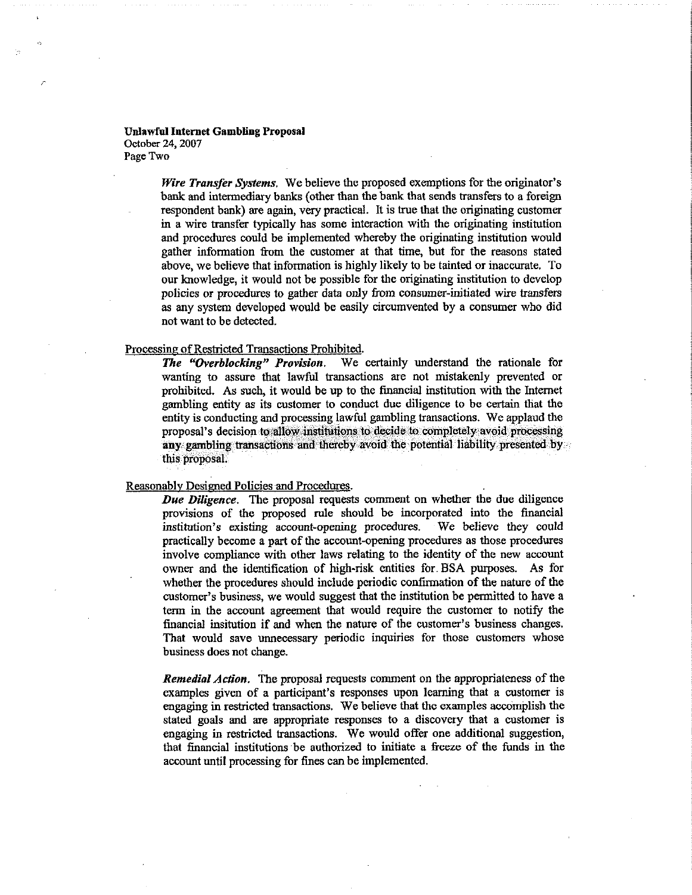Unlawful Internet Gambling Proposal October 24, 2007 Page Two

> *Wire Transfer Systems.* We believe the proposed exemptions for the originator's bank and intermediary banks (other than the bank that sends transfers to a foreign respondent bank) are again, very practical. It is troe that the originating customer in a wire transfer typically has some interaction with the originating institution and procedures could be implemented whereby the originating institution would gather information from the customer at that time, but for the reasons stated above, we believe that information is highly likely to be tainted or inaccurate. To our knowledge, it would not be possible for the originating institution to develop policies or procedures to gather data only from consumer·initiated wire transfers as any system developed would be easily circumvented by a consumer who did not want to be detected.

### Processing of Restricted Transactions Prohibited.

**The "Overblocking" Provision.** We certainly understand the rationale for wanting to assure that lawful transactions are not mistakenly prevented or prohibited. As such, it would be up to the financial institution with the Internet gambling entity as its customer to conduct due diligence to be certain that the entity is conducting and processing lawful gambling transactions. We applaud the proposal's decision to'a1low institutions to decide to completely'avoid processing any gambling transactions and thereby avoid the potential liability presented by this proposal.

# Reasonably Designed Policies and Procedures.

*Due Diligence.* The proposal requests comment on whether the due diligence provisions of the proposed rule should be incorporated into the financial institution's existing account-opening procedures. We believe they could institution's existing account-opening procedures. practically become a part of the account·opening procedures as those procedures involve compliance with other laws relating to the identity of the new account owner and the identification of high-risk entities for. BSA purposes. As for whether the procedures should include periodic confirmation of the nature of the customer's business, we would suggest that the institution be permitted to have a term in the account agreement that would require the customer to notify the financial insitution if and when the nature of the customer's business changes. That would save unnecessary periodic inquiries for those customers whose business does not change.

*Remedial Action.* The proposal requests comment on the appropriateness of the examples given of a participant's responses upon learning that a customer is engaging in restricted transactions. We believe that the examples accomplish the stated goals and are appropriate responses to a discovery that a customer is engaging in restricted transactions. We would offer one additional suggestion, that financial institutions 'be authorized to initiate a freeze of the funds in the account until processing for fines can be implemented.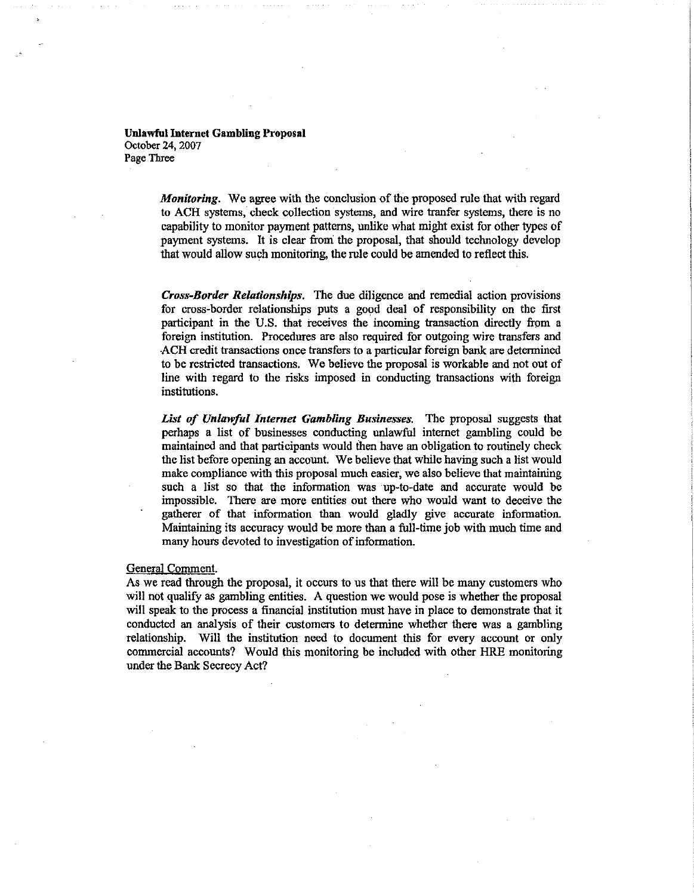Unlawful Internet Gambling Proposal October 24, 2007 Page Three

> *Monitoring.* We agree with the conclusion of the proposed rule that with regard to ACH systems, check collection systems, and wire tranfer systems, there is no capability to monitor payment patterns, unlike what might exist for other types of payment systems. It is clear from the proposal, that should technology develop that would allow such monitoring, the rule could be amended to reflect this.

> *Cross-Border Relationships.* The due diligence and remedial action provisions for cross-border relationships puts a good deal of responsibility on the first participant in the U.s. that receives the incoming transaction directly from a foreigo institution. Procedures are also required for outgoing wire transfers and ACH credit transactions once transfers to a particular foreign bank are determined to be restricted transactions. We believe the proposal is workable and not out of line with regard to the risks imposed in conducting transactions with foreign institutions.

> *List of Unlawful Internet Gambling Businesses.* The proposal suggests that perhaps a list of businesses conducting unlawful intemet gambling could be maintained and that participants would then have an obligation to routinely check the list before opening an account. We believe that while having such a list would make compliance with this proposal much easier, we also believe that maintaining such a list so that the information was up-to-date and accurate would be impossible. There are more entities out there who would want to deceive the gatherer of that information than would gladly give accurate information. Maintaining its accuracy would be more than a full-time job with much time and many hours devoted to investigation of information.

# General Comment.

As we read through the proposal, it occurs to us that there will be many customers who will not qualify as gambling entities. A question we would pose is whether the proposal will speak to the process a financial institution must have in place to demonstrate that it conducted an analysis of their customers to determine whether there was a gambling relationship. Will the institution need to document this for every account or only commercial accounts? Would this monitoring be included with other HRE monitoring under the Bank Secrecy Act?